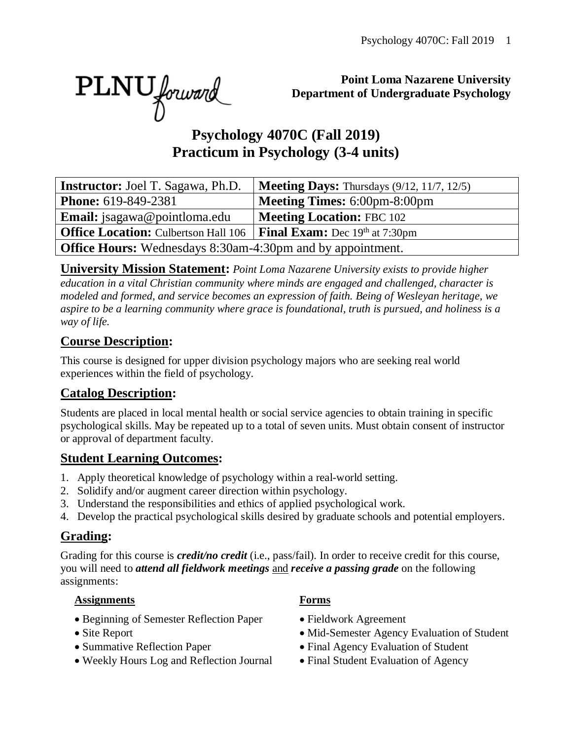PLNU forward

**Point Loma Nazarene University Department of Undergraduate Psychology**

# **Psychology 4070C (Fall 2019) Practicum in Psychology (3-4 units)**

| <b>Instructor:</b> Joel T. Sagawa, Ph.D.                          | <b>Meeting Days:</b> Thursdays $(9/12, 11/7, 12/5)$ |
|-------------------------------------------------------------------|-----------------------------------------------------|
| <b>Phone:</b> 619-849-2381                                        | <b>Meeting Times: 6:00pm-8:00pm</b>                 |
| <b>Email:</b> jsagawa@pointloma.edu                               | <b>Meeting Location: FBC 102</b>                    |
| <b>Office Location:</b> Culbertson Hall 106                       | <b>Final Exam:</b> Dec $19th$ at 7:30pm             |
| <b>Office Hours:</b> Wednesdays 8:30am-4:30pm and by appointment. |                                                     |

**University Mission Statement:** *Point Loma Nazarene University exists to provide higher education in a vital Christian community where minds are engaged and challenged, character is modeled and formed, and service becomes an expression of faith. Being of Wesleyan heritage, we aspire to be a learning community where grace is foundational, truth is pursued, and holiness is a way of life.*

#### **Course Description:**

This course is designed for upper division psychology majors who are seeking real world experiences within the field of psychology.

#### **Catalog Description:**

Students are placed in local mental health or social service agencies to obtain training in specific psychological skills. May be repeated up to a total of seven units. Must obtain consent of instructor or approval of department faculty.

#### **Student Learning Outcomes:**

- 1. Apply theoretical knowledge of psychology within a real-world setting.
- 2. Solidify and/or augment career direction within psychology.
- 3. Understand the responsibilities and ethics of applied psychological work.
- 4. Develop the practical psychological skills desired by graduate schools and potential employers.

### **Grading:**

Grading for this course is *credit/no credit* (i.e., pass/fail). In order to receive credit for this course, you will need to *attend all fieldwork meetings* and *receive a passing grade* on the following assignments:

#### **Assignments Forms**

- Beginning of Semester Reflection Paper Fieldwork Agreement
- 
- 
- Weekly Hours Log and Reflection Journal Final Student Evaluation of Agency

- 
- Site Report Mid-Semester Agency Evaluation of Student
- Summative Reflection Paper Final Agency Evaluation of Student
	-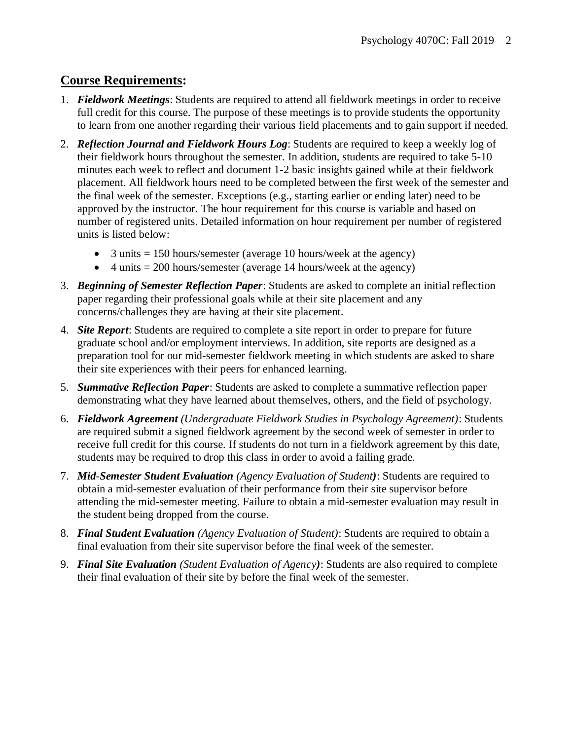#### **Course Requirements:**

- 1. *Fieldwork Meetings*: Students are required to attend all fieldwork meetings in order to receive full credit for this course. The purpose of these meetings is to provide students the opportunity to learn from one another regarding their various field placements and to gain support if needed.
- 2. *Reflection Journal and Fieldwork Hours Log*: Students are required to keep a weekly log of their fieldwork hours throughout the semester. In addition, students are required to take 5-10 minutes each week to reflect and document 1-2 basic insights gained while at their fieldwork placement. All fieldwork hours need to be completed between the first week of the semester and the final week of the semester. Exceptions (e.g., starting earlier or ending later) need to be approved by the instructor. The hour requirement for this course is variable and based on number of registered units. Detailed information on hour requirement per number of registered units is listed below:
	- 3 units  $= 150$  hours/semester (average 10 hours/week at the agency)
	- 4 units  $= 200$  hours/semester (average 14 hours/week at the agency)
- 3. *Beginning of Semester Reflection Paper*: Students are asked to complete an initial reflection paper regarding their professional goals while at their site placement and any concerns/challenges they are having at their site placement.
- 4. *Site Report*: Students are required to complete a site report in order to prepare for future graduate school and/or employment interviews. In addition, site reports are designed as a preparation tool for our mid-semester fieldwork meeting in which students are asked to share their site experiences with their peers for enhanced learning.
- 5. *Summative Reflection Paper*: Students are asked to complete a summative reflection paper demonstrating what they have learned about themselves, others, and the field of psychology.
- 6. *Fieldwork Agreement (Undergraduate Fieldwork Studies in Psychology Agreement)*: Students are required submit a signed fieldwork agreement by the second week of semester in order to receive full credit for this course. If students do not turn in a fieldwork agreement by this date, students may be required to drop this class in order to avoid a failing grade.
- 7. *Mid*-*Semester Student Evaluation (Agency Evaluation of Student)*: Students are required to obtain a mid-semester evaluation of their performance from their site supervisor before attending the mid-semester meeting. Failure to obtain a mid-semester evaluation may result in the student being dropped from the course.
- 8. *Final Student Evaluation (Agency Evaluation of Student)*: Students are required to obtain a final evaluation from their site supervisor before the final week of the semester.
- 9. *Final Site Evaluation (Student Evaluation of Agency)*: Students are also required to complete their final evaluation of their site by before the final week of the semester.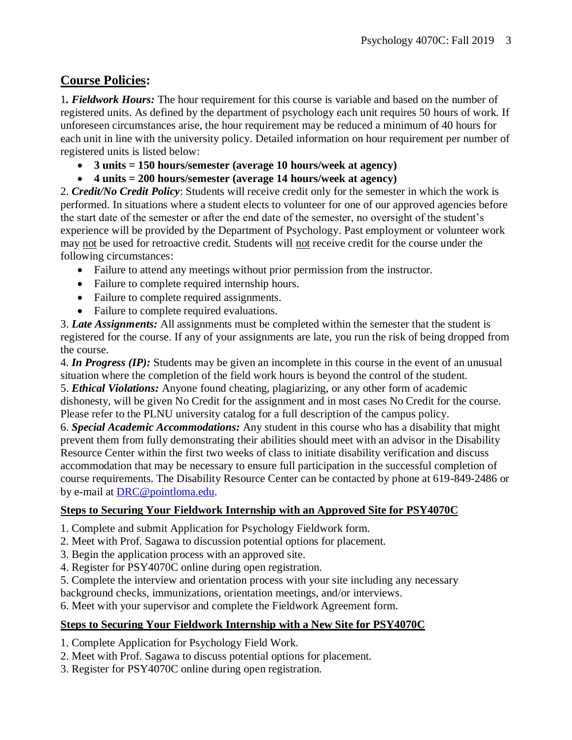#### **Course Policies:**

1*. Fieldwork Hours:* The hour requirement for this course is variable and based on the number of registered units. As defined by the department of psychology each unit requires 50 hours of work. If unforeseen circumstances arise, the hour requirement may be reduced a minimum of 40 hours for each unit in line with the university policy. Detailed information on hour requirement per number of registered units is listed below:

- **3 units = 150 hours/semester (average 10 hours/week at agency)**
- **4 units = 200 hours/semester (average 14 hours/week at agency)**

2. *Credit/No Credit Policy*: Students will receive credit only for the semester in which the work is performed. In situations where a student elects to volunteer for one of our approved agencies before the start date of the semester or after the end date of the semester, no oversight of the student's experience will be provided by the Department of Psychology. Past employment or volunteer work may not be used for retroactive credit. Students will not receive credit for the course under the following circumstances:

- Failure to attend any meetings without prior permission from the instructor.
- Failure to complete required internship hours.
- Failure to complete required assignments.
- Failure to complete required evaluations.

3. *Late Assignments:* All assignments must be completed within the semester that the student is registered for the course. If any of your assignments are late, you run the risk of being dropped from the course.

4. *In Progress (IP):* Students may be given an incomplete in this course in the event of an unusual situation where the completion of the field work hours is beyond the control of the student. 5. *Ethical Violations:* Anyone found cheating, plagiarizing, or any other form of academic dishonesty, will be given No Credit for the assignment and in most cases No Credit for the course. Please refer to the PLNU university catalog for a full description of the campus policy.

6. *Special Academic Accommodations:* Any student in this course who has a disability that might prevent them from fully demonstrating their abilities should meet with an advisor in the Disability Resource Center within the first two weeks of class to initiate disability verification and discuss accommodation that may be necessary to ensure full participation in the successful completion of course requirements. The Disability Resource Center can be contacted by phone at 619-849-2486 or by e-mail at [DRC@pointloma.edu.](mailto:DRC@pointloma.edu)

#### **Steps to Securing Your Fieldwork Internship with an Approved Site for PSY4070C**

- 1. Complete and submit Application for Psychology Fieldwork form.
- 2. Meet with Prof. Sagawa to discussion potential options for placement.
- 3. Begin the application process with an approved site.
- 4. Register for PSY4070C online during open registration.
- 5. Complete the interview and orientation process with your site including any necessary

background checks, immunizations, orientation meetings, and/or interviews.

6. Meet with your supervisor and complete the Fieldwork Agreement form.

#### **Steps to Securing Your Fieldwork Internship with a New Site for PSY4070C**

- 1. Complete Application for Psychology Field Work.
- 2. Meet with Prof. Sagawa to discuss potential options for placement.
- 3. Register for PSY4070C online during open registration.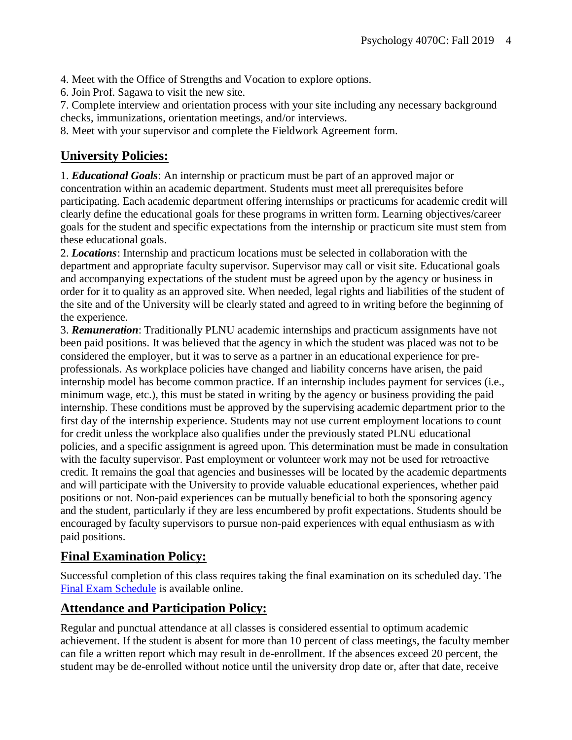4. Meet with the Office of Strengths and Vocation to explore options.

6. Join Prof. Sagawa to visit the new site.

7. Complete interview and orientation process with your site including any necessary background checks, immunizations, orientation meetings, and/or interviews.

8. Meet with your supervisor and complete the Fieldwork Agreement form.

#### **University Policies:**

1. *Educational Goals*: An internship or practicum must be part of an approved major or concentration within an academic department. Students must meet all prerequisites before participating. Each academic department offering internships or practicums for academic credit will clearly define the educational goals for these programs in written form. Learning objectives/career goals for the student and specific expectations from the internship or practicum site must stem from these educational goals.

2. *Locations*: Internship and practicum locations must be selected in collaboration with the department and appropriate faculty supervisor. Supervisor may call or visit site. Educational goals and accompanying expectations of the student must be agreed upon by the agency or business in order for it to quality as an approved site. When needed, legal rights and liabilities of the student of the site and of the University will be clearly stated and agreed to in writing before the beginning of the experience.

3. *Remuneration*: Traditionally PLNU academic internships and practicum assignments have not been paid positions. It was believed that the agency in which the student was placed was not to be considered the employer, but it was to serve as a partner in an educational experience for preprofessionals. As workplace policies have changed and liability concerns have arisen, the paid internship model has become common practice. If an internship includes payment for services (i.e., minimum wage, etc.), this must be stated in writing by the agency or business providing the paid internship. These conditions must be approved by the supervising academic department prior to the first day of the internship experience. Students may not use current employment locations to count for credit unless the workplace also qualifies under the previously stated PLNU educational policies, and a specific assignment is agreed upon. This determination must be made in consultation with the faculty supervisor. Past employment or volunteer work may not be used for retroactive credit. It remains the goal that agencies and businesses will be located by the academic departments and will participate with the University to provide valuable educational experiences, whether paid positions or not. Non-paid experiences can be mutually beneficial to both the sponsoring agency and the student, particularly if they are less encumbered by profit expectations. Students should be encouraged by faculty supervisors to pursue non-paid experiences with equal enthusiasm as with paid positions.

#### **Final Examination Policy:**

Successful completion of this class requires taking the final examination on its scheduled day. The [Final Exam Schedule](http://www.pointloma.edu/experience/academics/class-schedules) is available online.

#### **Attendance and Participation Policy:**

Regular and punctual attendance at all classes is considered essential to optimum academic achievement. If the student is absent for more than 10 percent of class meetings, the faculty member can file a written report which may result in de-enrollment. If the absences exceed 20 percent, the student may be de-enrolled without notice until the university drop date or, after that date, receive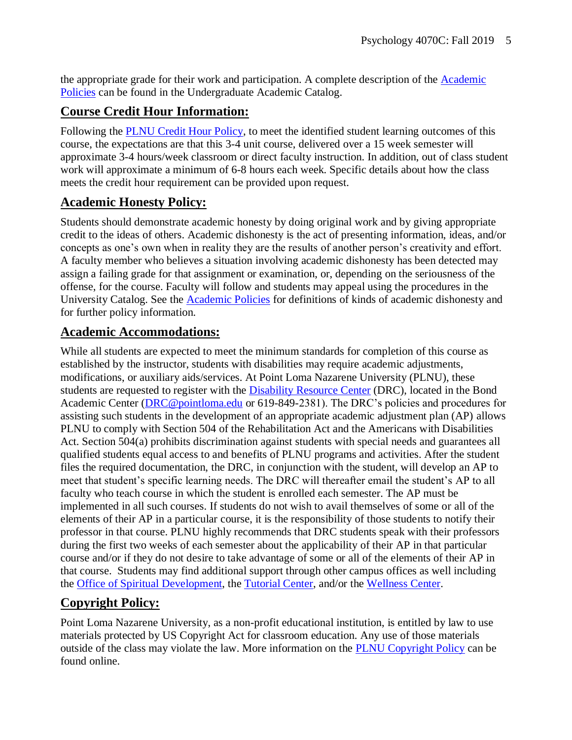the appropriate grade for their work and participation. A complete description of the [Academic](https://catalog.pointloma.edu/content.php?catoid=18&navoid=1278#Class_Attendance)  [Policies](https://catalog.pointloma.edu/content.php?catoid=18&navoid=1278#Class_Attendance) can be found in the Undergraduate Academic Catalog.

#### **Course Credit Hour Information:**

Following the [PLNU Credit Hour Policy,](http://catalog.pointloma.edu/content.php?catoid=18&navoid=1278#Credit_Hour_Definition) to meet the identified student learning outcomes of this course, the expectations are that this 3-4 unit course, delivered over a 15 week semester will approximate 3-4 hours/week classroom or direct faculty instruction. In addition, out of class student work will approximate a minimum of 6-8 hours each week. Specific details about how the class meets the credit hour requirement can be provided upon request.

#### **Academic Honesty Policy:**

Students should demonstrate academic honesty by doing original work and by giving appropriate credit to the ideas of others. Academic dishonesty is the act of presenting information, ideas, and/or concepts as one's own when in reality they are the results of another person's creativity and effort. A faculty member who believes a situation involving academic dishonesty has been detected may assign a failing grade for that assignment or examination, or, depending on the seriousness of the offense, for the course. Faculty will follow and students may appeal using the procedures in the University Catalog. See the **Academic Policies** for definitions of kinds of academic dishonesty and for further policy information.

#### **Academic Accommodations:**

While all students are expected to meet the minimum standards for completion of this course as established by the instructor, students with disabilities may require academic adjustments, modifications, or auxiliary aids/services. At Point Loma Nazarene University (PLNU), these students are requested to register with the **Disability Resource Center** (DRC), located in the Bond Academic Center [\(DRC@pointloma.edu](mailto:DRC@pointloma.edu) or 619-849-2381). The DRC's policies and procedures for assisting such students in the development of an appropriate academic adjustment plan (AP) allows PLNU to comply with Section 504 of the Rehabilitation Act and the Americans with Disabilities Act. Section 504(a) prohibits discrimination against students with special needs and guarantees all qualified students equal access to and benefits of PLNU programs and activities. After the student files the required documentation, the DRC, in conjunction with the student, will develop an AP to meet that student's specific learning needs. The DRC will thereafter email the student's AP to all faculty who teach course in which the student is enrolled each semester. The AP must be implemented in all such courses. If students do not wish to avail themselves of some or all of the elements of their AP in a particular course, it is the responsibility of those students to notify their professor in that course. PLNU highly recommends that DRC students speak with their professors during the first two weeks of each semester about the applicability of their AP in that particular course and/or if they do not desire to take advantage of some or all of the elements of their AP in that course. Students may find additional support through other campus offices as well including the [Office of Spiritual Development,](https://www.pointloma.edu/offices/spiritual-development) the [Tutorial Center,](https://www.pointloma.edu/offices/tutorial-services) and/or the [Wellness Center.](https://www.pointloma.edu/offices/wellness-center)

#### **Copyright Policy:**

Point Loma Nazarene University, as a non-profit educational institution, is entitled by law to use materials protected by US Copyright Act for classroom education. Any use of those materials outside of the class may violate the law. More information on the [PLNU Copyright Policy](http://libguides.pointloma.edu/content.php?pid=203591&sid=1700398) can be found online.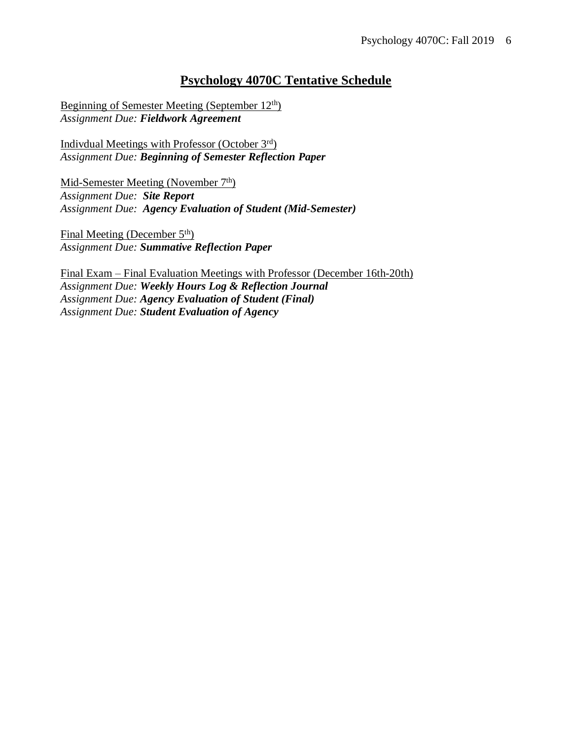#### **Psychology 4070C Tentative Schedule**

Beginning of Semester Meeting (September 12th) *Assignment Due: Fieldwork Agreement*

Indivdual Meetings with Professor (October 3rd) *Assignment Due: Beginning of Semester Reflection Paper*

Mid-Semester Meeting (November 7<sup>th</sup>) *Assignment Due: Site Report Assignment Due: Agency Evaluation of Student (Mid-Semester)*

Final Meeting (December 5<sup>th</sup>) *Assignment Due: Summative Reflection Paper*

Final Exam – Final Evaluation Meetings with Professor (December 16th-20th) *Assignment Due: Weekly Hours Log & Reflection Journal Assignment Due: Agency Evaluation of Student (Final) Assignment Due: Student Evaluation of Agency*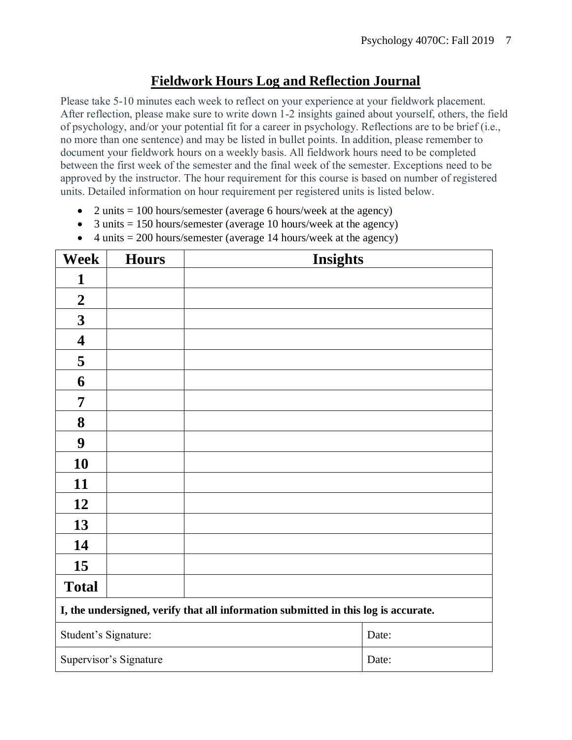#### **Fieldwork Hours Log and Reflection Journal**

Please take 5-10 minutes each week to reflect on your experience at your fieldwork placement. After reflection, please make sure to write down 1-2 insights gained about yourself, others, the field of psychology, and/or your potential fit for a career in psychology. Reflections are to be brief (i.e., no more than one sentence) and may be listed in bullet points. In addition, please remember to document your fieldwork hours on a weekly basis. All fieldwork hours need to be completed between the first week of the semester and the final week of the semester. Exceptions need to be approved by the instructor. The hour requirement for this course is based on number of registered units. Detailed information on hour requirement per registered units is listed below.

- 2 units  $= 100$  hours/semester (average 6 hours/week at the agency)
- 3 units  $= 150$  hours/semester (average 10 hours/week at the agency)
- 4 units  $= 200$  hours/semester (average 14 hours/week at the agency)

| <b>Week</b>                                                                        | <b>Hours</b>           | <b>Insights</b> |       |  |
|------------------------------------------------------------------------------------|------------------------|-----------------|-------|--|
| 1                                                                                  |                        |                 |       |  |
| $\boldsymbol{2}$                                                                   |                        |                 |       |  |
| $\mathbf{3}$                                                                       |                        |                 |       |  |
| $\overline{\mathbf{4}}$                                                            |                        |                 |       |  |
| 5                                                                                  |                        |                 |       |  |
| 6                                                                                  |                        |                 |       |  |
| 7                                                                                  |                        |                 |       |  |
| 8                                                                                  |                        |                 |       |  |
| 9                                                                                  |                        |                 |       |  |
| 10                                                                                 |                        |                 |       |  |
| 11                                                                                 |                        |                 |       |  |
| 12                                                                                 |                        |                 |       |  |
| 13                                                                                 |                        |                 |       |  |
| 14                                                                                 |                        |                 |       |  |
| 15                                                                                 |                        |                 |       |  |
| <b>Total</b>                                                                       |                        |                 |       |  |
| I, the undersigned, verify that all information submitted in this log is accurate. |                        |                 |       |  |
| Student's Signature:                                                               |                        |                 | Date: |  |
|                                                                                    | Supervisor's Signature |                 | Date: |  |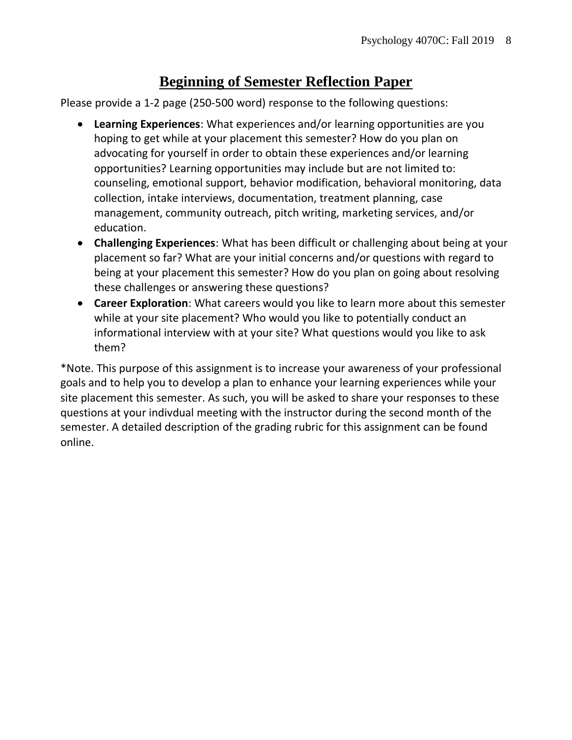#### **Beginning of Semester Reflection Paper**

Please provide a 1-2 page (250-500 word) response to the following questions:

- **Learning Experiences**: What experiences and/or learning opportunities are you hoping to get while at your placement this semester? How do you plan on advocating for yourself in order to obtain these experiences and/or learning opportunities? Learning opportunities may include but are not limited to: counseling, emotional support, behavior modification, behavioral monitoring, data collection, intake interviews, documentation, treatment planning, case management, community outreach, pitch writing, marketing services, and/or education.
- **Challenging Experiences**: What has been difficult or challenging about being at your placement so far? What are your initial concerns and/or questions with regard to being at your placement this semester? How do you plan on going about resolving these challenges or answering these questions?
- **Career Exploration**: What careers would you like to learn more about this semester while at your site placement? Who would you like to potentially conduct an informational interview with at your site? What questions would you like to ask them?

\*Note. This purpose of this assignment is to increase your awareness of your professional goals and to help you to develop a plan to enhance your learning experiences while your site placement this semester. As such, you will be asked to share your responses to these questions at your indivdual meeting with the instructor during the second month of the semester. A detailed description of the grading rubric for this assignment can be found online.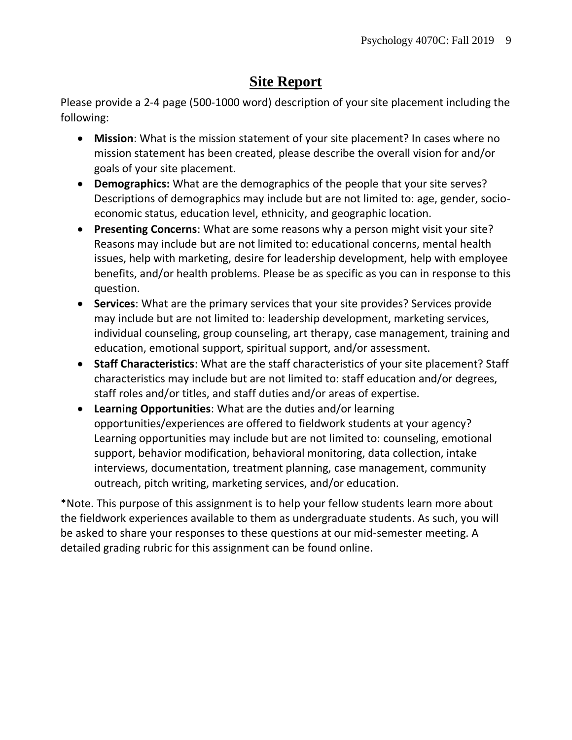# **Site Report**

Please provide a 2-4 page (500-1000 word) description of your site placement including the following:

- **Mission**: What is the mission statement of your site placement? In cases where no mission statement has been created, please describe the overall vision for and/or goals of your site placement.
- **Demographics:** What are the demographics of the people that your site serves? Descriptions of demographics may include but are not limited to: age, gender, socioeconomic status, education level, ethnicity, and geographic location.
- **Presenting Concerns**: What are some reasons why a person might visit your site? Reasons may include but are not limited to: educational concerns, mental health issues, help with marketing, desire for leadership development, help with employee benefits, and/or health problems. Please be as specific as you can in response to this question.
- **Services**: What are the primary services that your site provides? Services provide may include but are not limited to: leadership development, marketing services, individual counseling, group counseling, art therapy, case management, training and education, emotional support, spiritual support, and/or assessment.
- **Staff Characteristics**: What are the staff characteristics of your site placement? Staff characteristics may include but are not limited to: staff education and/or degrees, staff roles and/or titles, and staff duties and/or areas of expertise.
- **Learning Opportunities**: What are the duties and/or learning opportunities/experiences are offered to fieldwork students at your agency? Learning opportunities may include but are not limited to: counseling, emotional support, behavior modification, behavioral monitoring, data collection, intake interviews, documentation, treatment planning, case management, community outreach, pitch writing, marketing services, and/or education.

\*Note. This purpose of this assignment is to help your fellow students learn more about the fieldwork experiences available to them as undergraduate students. As such, you will be asked to share your responses to these questions at our mid-semester meeting. A detailed grading rubric for this assignment can be found online.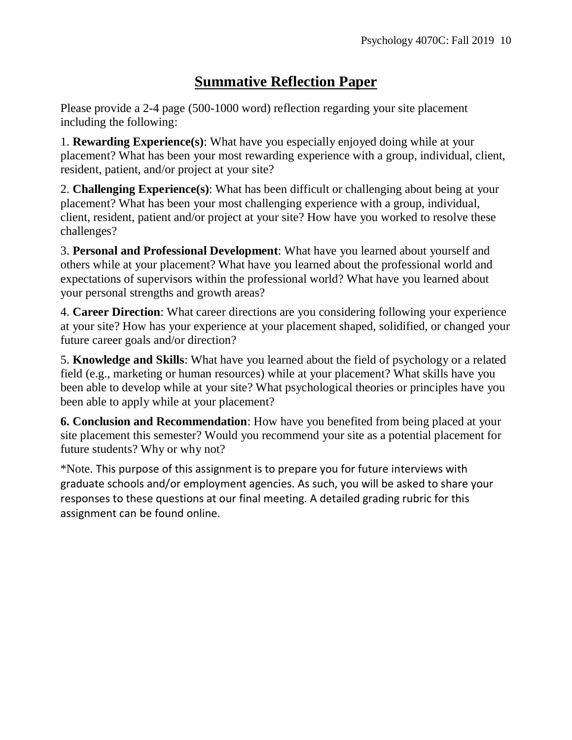# **Summative Reflection Paper**

Please provide a 2-4 page (500-1000 word) reflection regarding your site placement including the following:

1. **Rewarding Experience(s)**: What have you especially enjoyed doing while at your placement? What has been your most rewarding experience with a group, individual, client, resident, patient, and/or project at your site?

2. **Challenging Experience(s)**: What has been difficult or challenging about being at your placement? What has been your most challenging experience with a group, individual, client, resident, patient and/or project at your site? How have you worked to resolve these challenges?

3. **Personal and Professional Development**: What have you learned about yourself and others while at your placement? What have you learned about the professional world and expectations of supervisors within the professional world? What have you learned about your personal strengths and growth areas?

4. **Career Direction**: What career directions are you considering following your experience at your site? How has your experience at your placement shaped, solidified, or changed your future career goals and/or direction?

5. **Knowledge and Skills**: What have you learned about the field of psychology or a related field (e.g., marketing or human resources) while at your placement? What skills have you been able to develop while at your site? What psychological theories or principles have you been able to apply while at your placement?

**6. Conclusion and Recommendation**: How have you benefited from being placed at your site placement this semester? Would you recommend your site as a potential placement for future students? Why or why not?

\*Note. This purpose of this assignment is to prepare you for future interviews with graduate schools and/or employment agencies. As such, you will be asked to share your responses to these questions at our final meeting. A detailed grading rubric for this assignment can be found online.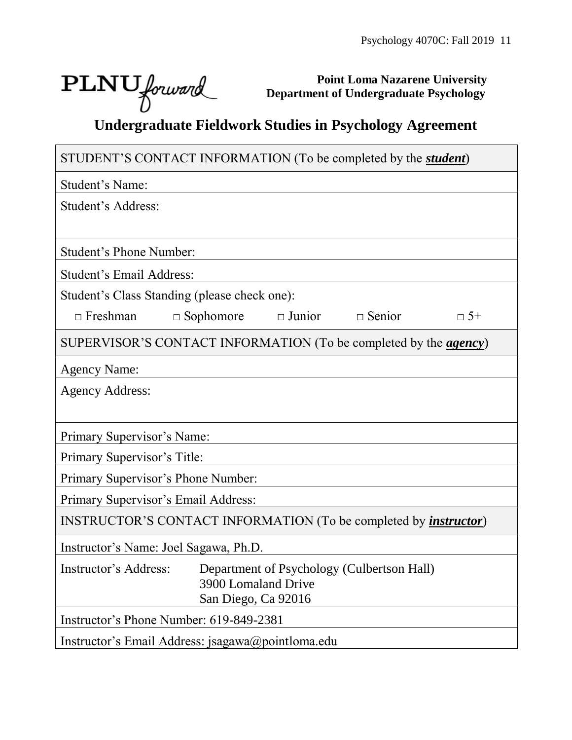٦

# $\text{PLNU}$  forward

Г

**Point Loma Nazarene University Department of Undergraduate Psychology**

# **Undergraduate Fieldwork Studies in Psychology Agreement**

| STUDENT'S CONTACT INFORMATION (To be completed by the <i>student</i> )             |
|------------------------------------------------------------------------------------|
| Student's Name:                                                                    |
| Student's Address:                                                                 |
|                                                                                    |
| <b>Student's Phone Number:</b>                                                     |
| Student's Email Address:                                                           |
| Student's Class Standing (please check one):                                       |
| $\Box$ Sophomore<br>$\Box$ Junior<br>$\Box$ Senior<br>$\Box$ Freshman<br>$\Box$ 5+ |
| SUPERVISOR'S CONTACT INFORMATION (To be completed by the <i>agency</i> )           |
| <b>Agency Name:</b>                                                                |
| <b>Agency Address:</b>                                                             |
|                                                                                    |
| Primary Supervisor's Name:                                                         |
| Primary Supervisor's Title:                                                        |
| Primary Supervisor's Phone Number:                                                 |
| Primary Supervisor's Email Address:                                                |
| INSTRUCTOR'S CONTACT INFORMATION (To be completed by <i>instructor</i> )           |
| Instructor's Name: Joel Sagawa, Ph.D.                                              |
| Instructor's Address:<br>Department of Psychology (Culbertson Hall)                |
| 3900 Lomaland Drive<br>San Diego, Ca 92016                                         |
| Instructor's Phone Number: 619-849-2381                                            |
| Instructor's Email Address: jsagawa@pointloma.edu                                  |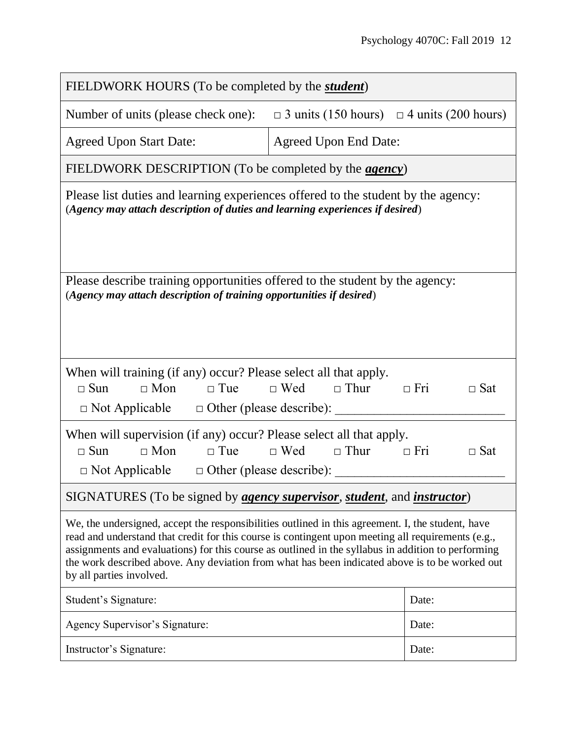| FIELDWORK HOURS (To be completed by the <i>student</i> )                                                                                                                                                                                                                                                                                                                                                                                    |                                                               |                          |  |  |  |  |
|---------------------------------------------------------------------------------------------------------------------------------------------------------------------------------------------------------------------------------------------------------------------------------------------------------------------------------------------------------------------------------------------------------------------------------------------|---------------------------------------------------------------|--------------------------|--|--|--|--|
| Number of units (please check one):                                                                                                                                                                                                                                                                                                                                                                                                         | $\Box$ 3 units (150 hours) $\Box$ 4 units (200 hours)         |                          |  |  |  |  |
| <b>Agreed Upon Start Date:</b>                                                                                                                                                                                                                                                                                                                                                                                                              | <b>Agreed Upon End Date:</b>                                  |                          |  |  |  |  |
|                                                                                                                                                                                                                                                                                                                                                                                                                                             | FIELDWORK DESCRIPTION (To be completed by the <i>agency</i> ) |                          |  |  |  |  |
| Please list duties and learning experiences offered to the student by the agency:<br>(Agency may attach description of duties and learning experiences if desired)                                                                                                                                                                                                                                                                          |                                                               |                          |  |  |  |  |
| Please describe training opportunities offered to the student by the agency:<br>(Agency may attach description of training opportunities if desired)                                                                                                                                                                                                                                                                                        |                                                               |                          |  |  |  |  |
| When will training (if any) occur? Please select all that apply.<br>$\Box$ Mon<br>$\Box$ Sun<br>$\Box$ Tue<br>$\Box$ Not Applicable $\Box$ Other (please describe):                                                                                                                                                                                                                                                                         | $\Box$ Wed $\Box$ Thur<br>$\Box$ Fri                          | $\Box$ Sat               |  |  |  |  |
| When will supervision (if any) occur? Please select all that apply.<br>$\Box$ Mon<br>$\Box$ Tue<br>$\Box$ Sun<br>$\Box$ Not Applicable $\Box$ Other (please describe):                                                                                                                                                                                                                                                                      | $\Box$ Wed $\Box$ Thur                                        | $\Box$ Fri<br>$\Box$ Sat |  |  |  |  |
| SIGNATURES (To be signed by <i>agency supervisor</i> , <i>student</i> , and <i>instructor</i> )                                                                                                                                                                                                                                                                                                                                             |                                                               |                          |  |  |  |  |
| We, the undersigned, accept the responsibilities outlined in this agreement. I, the student, have<br>read and understand that credit for this course is contingent upon meeting all requirements (e.g.,<br>assignments and evaluations) for this course as outlined in the syllabus in addition to performing<br>the work described above. Any deviation from what has been indicated above is to be worked out<br>by all parties involved. |                                                               |                          |  |  |  |  |
| Student's Signature:                                                                                                                                                                                                                                                                                                                                                                                                                        |                                                               | Date:                    |  |  |  |  |
| Agency Supervisor's Signature:                                                                                                                                                                                                                                                                                                                                                                                                              |                                                               | Date:                    |  |  |  |  |
| Instructor's Signature:                                                                                                                                                                                                                                                                                                                                                                                                                     |                                                               | Date:                    |  |  |  |  |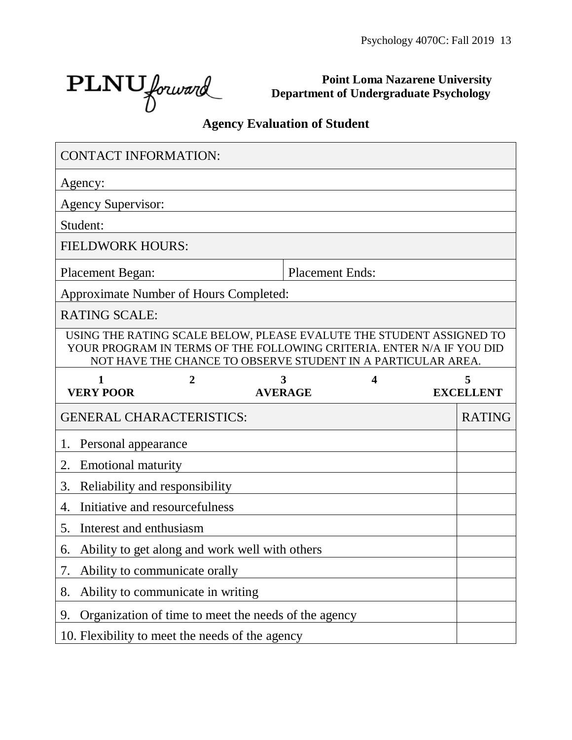٦

PLNU forward

**Point Loma Nazarene University Department of Undergraduate Psychology**

# **Agency Evaluation of Student**

| <b>CONTACT INFORMATION:</b>            |                                   |                                                                                                                                                                                                               |   |                  |
|----------------------------------------|-----------------------------------|---------------------------------------------------------------------------------------------------------------------------------------------------------------------------------------------------------------|---|------------------|
| Agency:                                |                                   |                                                                                                                                                                                                               |   |                  |
| <b>Agency Supervisor:</b>              |                                   |                                                                                                                                                                                                               |   |                  |
| Student:                               |                                   |                                                                                                                                                                                                               |   |                  |
| <b>FIELDWORK HOURS:</b>                |                                   |                                                                                                                                                                                                               |   |                  |
| <b>Placement Began:</b>                |                                   | <b>Placement Ends:</b>                                                                                                                                                                                        |   |                  |
| Approximate Number of Hours Completed: |                                   |                                                                                                                                                                                                               |   |                  |
| <b>RATING SCALE:</b>                   |                                   |                                                                                                                                                                                                               |   |                  |
|                                        |                                   | USING THE RATING SCALE BELOW, PLEASE EVALUTE THE STUDENT ASSIGNED TO<br>YOUR PROGRAM IN TERMS OF THE FOLLOWING CRITERIA. ENTER N/A IF YOU DID<br>NOT HAVE THE CHANCE TO OBSERVE STUDENT IN A PARTICULAR AREA. |   |                  |
| 1                                      | 2                                 | 3                                                                                                                                                                                                             | 4 | 5                |
| <b>VERY POOR</b>                       |                                   | <b>AVERAGE</b>                                                                                                                                                                                                |   | <b>EXCELLENT</b> |
| <b>GENERAL CHARACTERISTICS:</b>        |                                   |                                                                                                                                                                                                               |   | <b>RATING</b>    |
| Personal appearance<br>1.              |                                   |                                                                                                                                                                                                               |   |                  |
| <b>Emotional maturity</b><br>2.        |                                   |                                                                                                                                                                                                               |   |                  |
| 3.                                     | Reliability and responsibility    |                                                                                                                                                                                                               |   |                  |
| 4.                                     | Initiative and resourcefulness    |                                                                                                                                                                                                               |   |                  |
| Interest and enthusiasm<br>5.          |                                   |                                                                                                                                                                                                               |   |                  |
| 6.                                     |                                   | Ability to get along and work well with others                                                                                                                                                                |   |                  |
|                                        | Ability to communicate orally     |                                                                                                                                                                                                               |   |                  |
| 8.                                     | Ability to communicate in writing |                                                                                                                                                                                                               |   |                  |
| 9.                                     |                                   | Organization of time to meet the needs of the agency                                                                                                                                                          |   |                  |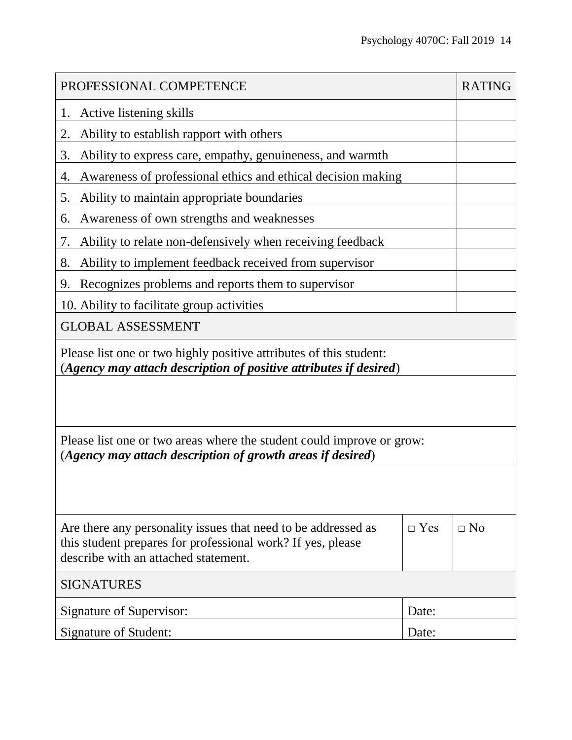| PROFESSIONAL COMPETENCE                                                                                                                                              |            | <b>RATING</b> |  |  |
|----------------------------------------------------------------------------------------------------------------------------------------------------------------------|------------|---------------|--|--|
| Active listening skills<br>1.                                                                                                                                        |            |               |  |  |
| Ability to establish rapport with others<br>2.                                                                                                                       |            |               |  |  |
| Ability to express care, empathy, genuineness, and warmth<br>3.                                                                                                      |            |               |  |  |
| Awareness of professional ethics and ethical decision making<br>4.                                                                                                   |            |               |  |  |
| Ability to maintain appropriate boundaries<br>5.                                                                                                                     |            |               |  |  |
| Awareness of own strengths and weaknesses<br>6.                                                                                                                      |            |               |  |  |
| Ability to relate non-defensively when receiving feedback<br>7.                                                                                                      |            |               |  |  |
| Ability to implement feedback received from supervisor<br>8.                                                                                                         |            |               |  |  |
| Recognizes problems and reports them to supervisor<br>9.                                                                                                             |            |               |  |  |
| 10. Ability to facilitate group activities                                                                                                                           |            |               |  |  |
| <b>GLOBAL ASSESSMENT</b>                                                                                                                                             |            |               |  |  |
| Please list one or two highly positive attributes of this student:<br>(Agency may attach description of positive attributes if desired)                              |            |               |  |  |
|                                                                                                                                                                      |            |               |  |  |
| Please list one or two areas where the student could improve or grow:<br>(Agency may attach description of growth areas if desired)                                  |            |               |  |  |
|                                                                                                                                                                      |            |               |  |  |
| Are there any personality issues that need to be addressed as<br>this student prepares for professional work? If yes, please<br>describe with an attached statement. | $\Box$ Yes | $\Box$ No     |  |  |
| <b>SIGNATURES</b>                                                                                                                                                    |            |               |  |  |
| Signature of Supervisor:                                                                                                                                             | Date:      |               |  |  |
| Signature of Student:                                                                                                                                                | Date:      |               |  |  |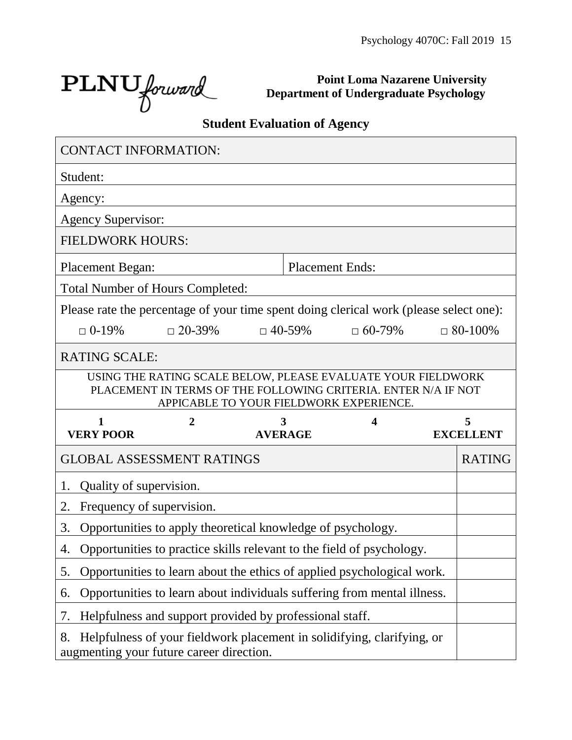PLNU forward

**Point Loma Nazarene University Department of Undergraduate Psychology**

# **Student Evaluation of Agency**

|                                 | <b>CONTACT INFORMATION:</b>                                                                                                                                               |                |                        |                  |
|---------------------------------|---------------------------------------------------------------------------------------------------------------------------------------------------------------------------|----------------|------------------------|------------------|
| Student:                        |                                                                                                                                                                           |                |                        |                  |
| Agency:                         |                                                                                                                                                                           |                |                        |                  |
| <b>Agency Supervisor:</b>       |                                                                                                                                                                           |                |                        |                  |
| <b>FIELDWORK HOURS:</b>         |                                                                                                                                                                           |                |                        |                  |
| <b>Placement Began:</b>         |                                                                                                                                                                           |                | <b>Placement Ends:</b> |                  |
|                                 | <b>Total Number of Hours Completed:</b>                                                                                                                                   |                |                        |                  |
|                                 | Please rate the percentage of your time spent doing clerical work (please select one):                                                                                    |                |                        |                  |
| $\Box$ 0-19%                    | $\Box$ 20-39%                                                                                                                                                             | $\Box$ 40-59%  | $\Box$ 60-79%          | $\Box$ 80-100%   |
| <b>RATING SCALE:</b>            |                                                                                                                                                                           |                |                        |                  |
|                                 | USING THE RATING SCALE BELOW, PLEASE EVALUATE YOUR FIELDWORK<br>PLACEMENT IN TERMS OF THE FOLLOWING CRITERIA. ENTER N/A IF NOT<br>APPICABLE TO YOUR FIELDWORK EXPERIENCE. |                |                        |                  |
|                                 |                                                                                                                                                                           |                |                        |                  |
| 1                               | 2                                                                                                                                                                         | 3              | 4                      | 5                |
| <b>VERY POOR</b>                |                                                                                                                                                                           | <b>AVERAGE</b> |                        | <b>EXCELLENT</b> |
|                                 | <b>GLOBAL ASSESSMENT RATINGS</b>                                                                                                                                          |                |                        | <b>RATING</b>    |
| Quality of supervision.<br>1.   |                                                                                                                                                                           |                |                        |                  |
| Frequency of supervision.<br>2. |                                                                                                                                                                           |                |                        |                  |
| 3.                              | Opportunities to apply theoretical knowledge of psychology.                                                                                                               |                |                        |                  |
| 4.                              | Opportunities to practice skills relevant to the field of psychology.                                                                                                     |                |                        |                  |
| 5.                              | Opportunities to learn about the ethics of applied psychological work.                                                                                                    |                |                        |                  |
| 6.                              | Opportunities to learn about individuals suffering from mental illness.                                                                                                   |                |                        |                  |
| 7.                              | Helpfulness and support provided by professional staff.                                                                                                                   |                |                        |                  |